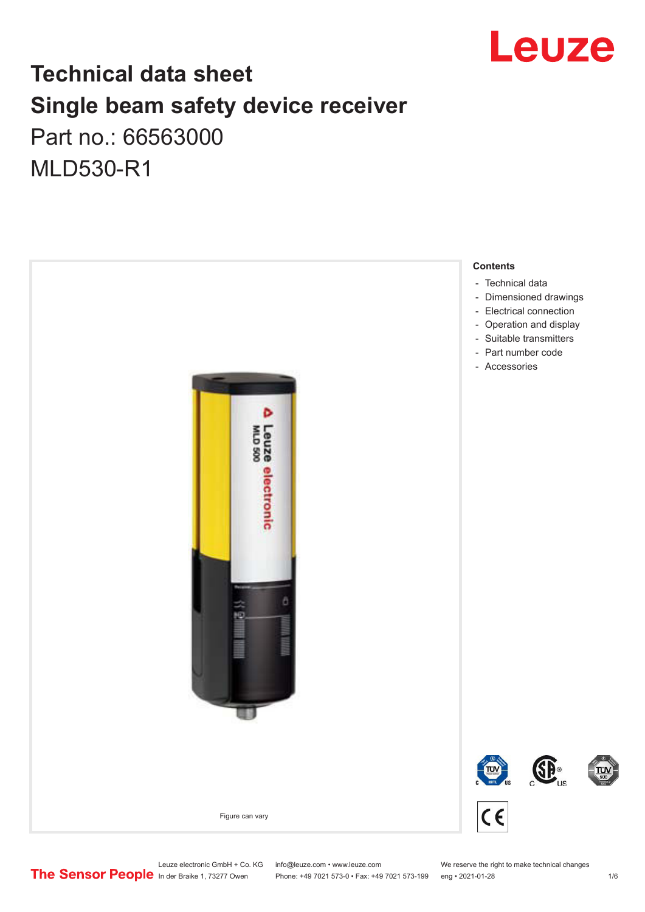

## **Technical data sheet Single beam safety device receiver** Part no.: 66563000

MLD530-R1



Leuze electronic GmbH + Co. KG info@leuze.com • www.leuze.com We reserve the right to make technical changes<br>
The Sensor People in der Braike 1, 73277 Owen Phone: +49 7021 573-0 • Fax: +49 7021 573-199 eng • 2021-01-28

Phone: +49 7021 573-0 • Fax: +49 7021 573-199 eng • 2021-01-28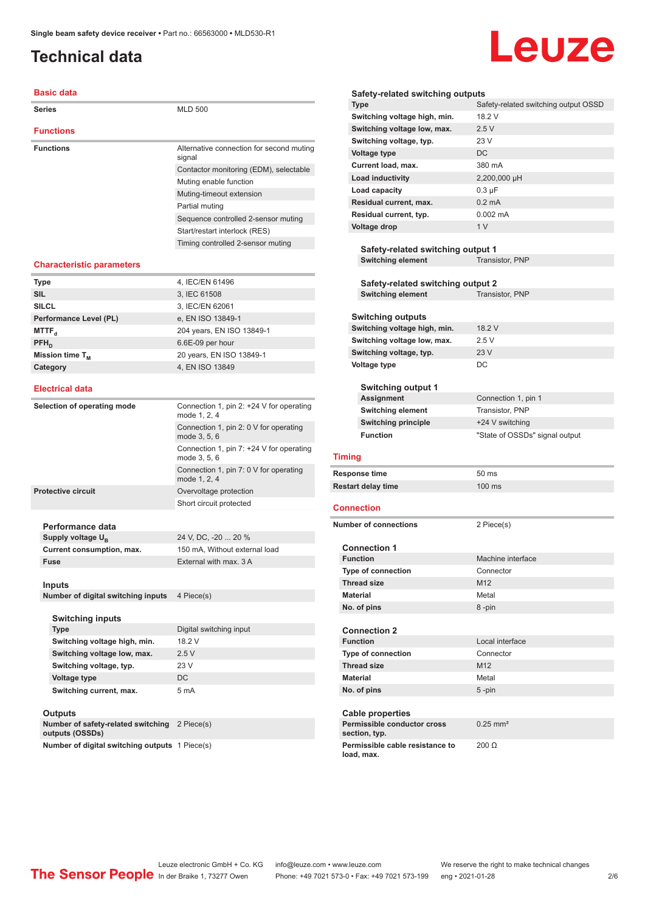## <span id="page-1-0"></span>**Technical data**

#### **Basic data**

| <b>Series</b>    | <b>MLD 500</b>                                     |
|------------------|----------------------------------------------------|
| <b>Functions</b> |                                                    |
| <b>Functions</b> | Alternative connection for second muting<br>signal |
|                  | Contactor monitoring (EDM), selectable             |
|                  | Muting enable function                             |
|                  | Muting-timeout extension                           |
|                  | Partial muting                                     |
|                  | Sequence controlled 2-sensor muting                |
|                  | Start/restart interlock (RES)                      |
|                  | Timing controlled 2-sensor muting                  |

#### **Characteristic parameters**

| <b>Type</b>            | 4, IEC/EN 61496           |
|------------------------|---------------------------|
| <b>SIL</b>             | 3, IEC 61508              |
| <b>SILCL</b>           | 3, IEC/EN 62061           |
| Performance Level (PL) | e, EN ISO 13849-1         |
| MTTF <sub>a</sub>      | 204 years, EN ISO 13849-1 |
| $PFH_n$                | 6.6E-09 per hour          |
| Mission time $T_{M}$   | 20 years, EN ISO 13849-1  |
| Category               | 4, EN ISO 13849           |
|                        |                           |

#### **Electrical data**

| Selection of operating mode | Connection 1, pin 2: $+24$ V for operating<br>mode 1, 2, 4 |                               |
|-----------------------------|------------------------------------------------------------|-------------------------------|
|                             | Connection 1, pin 2: 0 V for operating<br>mode 3, 5, 6     |                               |
|                             | Connection 1, pin $7: +24$ V for operating<br>mode 3, 5, 6 |                               |
|                             | Connection 1, pin 7: 0 V for operating<br>mode 1, 2, 4     |                               |
|                             | <b>Protective circuit</b>                                  | Overvoltage protection        |
|                             |                                                            | Short circuit protected       |
|                             | Performance data                                           |                               |
|                             | Supply voltage U <sub>n</sub>                              | 24 V, DC, -20  20 %           |
|                             | Current consumption, max.                                  | 150 mA, Without external load |
|                             | Fuse                                                       | External with max. 3 A        |
|                             | $1 - 1$                                                    |                               |

#### **Inputs**

**Number of digital switching inputs** 4 Piece(s)

| <b>Switching inputs</b>      |                         |
|------------------------------|-------------------------|
| <b>Type</b>                  | Digital switching input |
| Switching voltage high, min. | 18 2 V                  |
| Switching voltage low, max.  | 2.5V                    |
| Switching voltage, typ.      | 23V                     |
| Voltage type                 | DC.                     |
| Switching current, max.      | 5 <sub>m</sub> A        |

#### **Outputs**

| ------                                                |            |
|-------------------------------------------------------|------------|
| Number of safety-related switching<br>outputs (OSSDs) | 2 Piece(s) |
| Number of digital switching outputs 1 Piece(s)        |            |

#### Leuze **Safety-related switching outputs Type** Safety-related switching output OSSD **Switching voltage high, min.** 18.2 V Switching voltage low, max. 2.5 V **Switching voltage, typ.** 23 V **Voltage type** DC **Current load, max.** 380 mA **Load inductivity** 2,200,000 µH **Load capacity** 0.3 µF **Residual current, max.** 0.2 mA **Residual current, typ.** 0.002 mA **Voltage drop** 1 V **Safety-related switching output 1 Switching element** Transistor, PNP

**Safety-related switching output 2 Switching element** Transistor, PNP

#### **Switching outputs Switching voltage high, min.** 18.2 V **Switching voltage low, max.** 2.5 V **Switching voltage, typ.** 23 V **Voltage type** DC

| <b>Switching output 1</b>  |                                |
|----------------------------|--------------------------------|
| Assignment                 | Connection 1, pin 1            |
| <b>Switching element</b>   | Transistor, PNP                |
| <b>Switching principle</b> | +24 V switching                |
| <b>Function</b>            | "State of OSSDs" signal output |

#### **Timing**

| Response time             | 50 ms            |
|---------------------------|------------------|
| <b>Restart delay time</b> | $100 \text{ ms}$ |

#### **Connection**

| <b>Number of connections</b>                  | 2 Piece(s)             |
|-----------------------------------------------|------------------------|
| <b>Connection 1</b>                           |                        |
| <b>Function</b>                               | Machine interface      |
| <b>Type of connection</b>                     | Connector              |
| <b>Thread size</b>                            | M <sub>12</sub>        |
| <b>Material</b>                               | Metal                  |
| No. of pins                                   | 8-pin                  |
|                                               |                        |
| <b>Connection 2</b>                           |                        |
| <b>Function</b>                               | Local interface        |
| <b>Type of connection</b>                     | Connector              |
| <b>Thread size</b>                            | M <sub>12</sub>        |
| <b>Material</b>                               | Metal                  |
| No. of pins                                   | $5 - pin$              |
|                                               |                        |
| <b>Cable properties</b>                       |                        |
| Permissible conductor cross<br>section, typ.  | $0.25$ mm <sup>2</sup> |
| Permissible cable resistance to<br>load, max. | $200 \Omega$           |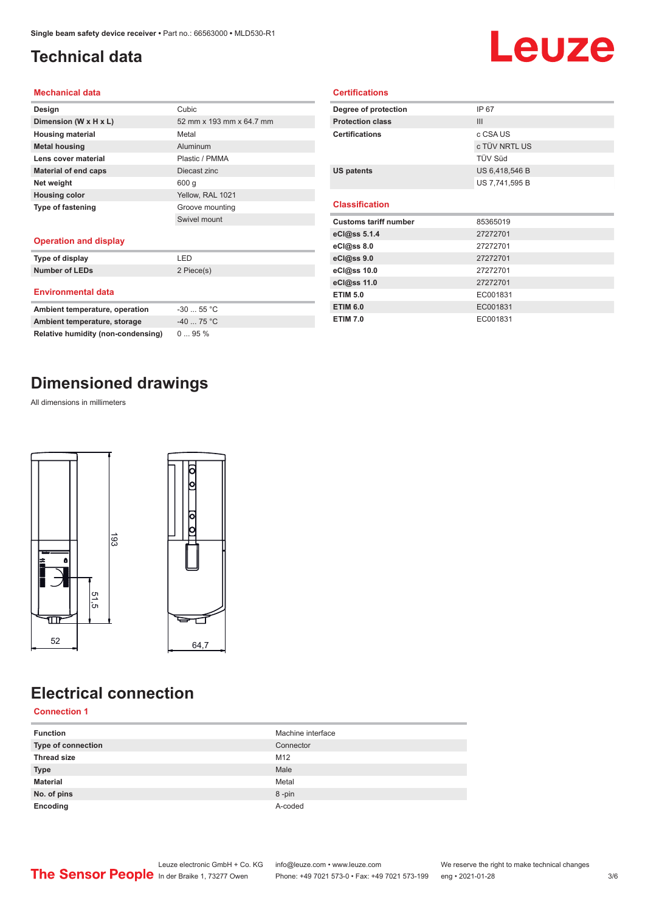## <span id="page-2-0"></span>**Technical data**

# Leuze

#### **Mechanical data**

| Design                      | Cubic                    |
|-----------------------------|--------------------------|
| Dimension (W x H x L)       | 52 mm x 193 mm x 64.7 mm |
| <b>Housing material</b>     | Metal                    |
| <b>Metal housing</b>        | Aluminum                 |
| Lens cover material         | Plastic / PMMA           |
| <b>Material of end caps</b> | Diecast zinc             |
| Net weight                  | 600 g                    |
| <b>Housing color</b>        | Yellow, RAL 1021         |
| <b>Type of fastening</b>    | Groove mounting          |
|                             | Swivel mount             |
|                             |                          |

#### **Operation and display**

| Type of display                | I FD       |
|--------------------------------|------------|
| <b>Number of LEDs</b>          | 2 Piece(s) |
| <b>Environmental data</b>      |            |
| Ambient temperature, operation | $-3055$ °C |

| Alliblefit temperature, operation  | - <del>JU  JU</del> |
|------------------------------------|---------------------|
| Ambient temperature, storage       | -40  75 °C          |
| Relative humidity (non-condensing) | $095\%$             |

## **Dimensioned drawings**

All dimensions in millimeters



## **Electrical connection**

#### **Connection 1**

| <b>Function</b>    | Machine interface |
|--------------------|-------------------|
| Type of connection | Connector         |
| <b>Thread size</b> | M12               |
| <b>Type</b>        | Male              |
| <b>Material</b>    | Metal             |
| No. of pins        | 8-pin             |
| Encoding           | A-coded           |

| Degree of protection         | IP 67          |  |
|------------------------------|----------------|--|
| <b>Protection class</b>      | III            |  |
| <b>Certifications</b>        | c CSA US       |  |
|                              | c TÜV NRTL US  |  |
|                              | TÜV Süd        |  |
| <b>US patents</b>            | US 6,418,546 B |  |
|                              | US 7,741,595 B |  |
|                              |                |  |
| <b>Classification</b>        |                |  |
| <b>Customs tariff number</b> | 85365019       |  |
| eCl@ss 5.1.4                 | 27272701       |  |
| eCl@ss 8.0                   | 27272701       |  |
| eCl@ss 9.0                   | 27272701       |  |
| eCl@ss 10.0                  | 27272701       |  |
| eCl@ss 11.0                  | 27272701       |  |
| <b>ETIM 5.0</b>              | EC001831       |  |
| <b>ETIM 6.0</b>              | EC001831       |  |

**Certifications**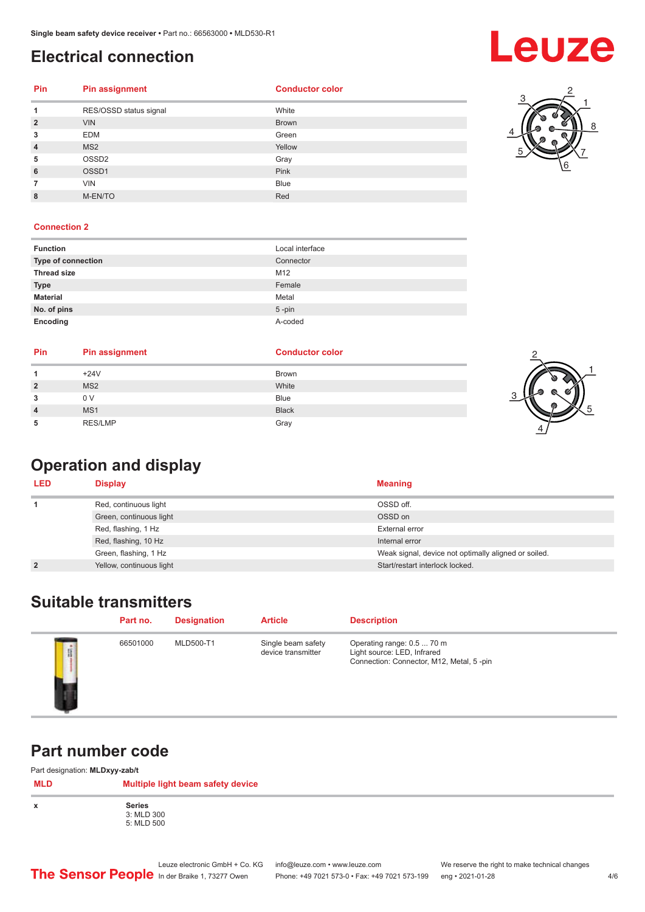## <span id="page-3-0"></span>**Electrical connection**

## **Leuze**

#### **Pin Pin assignment**

| <b>Conductor color</b> |  |  |
|------------------------|--|--|
|                        |  |  |

| 1              | RES/OSSD status signal | White        |
|----------------|------------------------|--------------|
| $\overline{2}$ | <b>VIN</b>             | <b>Brown</b> |
| 3              | <b>EDM</b>             | Green        |
| 4              | MS <sub>2</sub>        | Yellow       |
| 5              | OSSD <sub>2</sub>      | Gray         |
| 6              | OSSD1                  | Pink         |
| 7              | <b>VIN</b>             | <b>Blue</b>  |
| 8              | M-EN/TO                | Red          |



#### **Connection 2**

| <b>Function</b>    | Local interface |
|--------------------|-----------------|
| Type of connection | Connector       |
| <b>Thread size</b> | M12             |
| <b>Type</b>        | Female          |
| <b>Material</b>    | Metal           |
| No. of pins        | $5$ -pin        |
| Encoding           | A-coded         |

| Pin            | Pin assignment  | <b>Conductor color</b> |
|----------------|-----------------|------------------------|
|                | $+24V$          | <b>Brown</b>           |
| $\overline{2}$ | MS <sub>2</sub> | White                  |
| 3              | 0 V             | Blue                   |
| $\overline{4}$ | MS <sub>1</sub> | <b>Black</b>           |
|                | <b>RES/LMP</b>  | Gray                   |



## **Operation and display**

| <b>LED</b>     | <b>Display</b>           | <b>Meaning</b>                                       |
|----------------|--------------------------|------------------------------------------------------|
|                | Red, continuous light    | OSSD off.                                            |
|                | Green, continuous light  | OSSD on                                              |
|                | Red, flashing, 1 Hz      | External error                                       |
|                | Red, flashing, 10 Hz     | Internal error                                       |
|                | Green, flashing, 1 Hz    | Weak signal, device not optimally aligned or soiled. |
| $\overline{2}$ | Yellow, continuous light | Start/restart interlock locked.                      |

## **Suitable transmitters**

|   | Part no. | <b>Designation</b> | <b>Article</b>                           | <b>Description</b>                                                                                    |
|---|----------|--------------------|------------------------------------------|-------------------------------------------------------------------------------------------------------|
| I | 66501000 | MLD500-T1          | Single beam safety<br>device transmitter | Operating range: 0.5  70 m<br>Light source: LED, Infrared<br>Connection: Connector, M12, Metal, 5-pin |

### **Part number code**

Part designation: **MLDxyy-zab/t**

| .<br>.<br><b>MLD</b> | .<br>Multiple light beam safety device    |
|----------------------|-------------------------------------------|
| x                    | <b>Series</b><br>3: MLD 300<br>5: MLD 500 |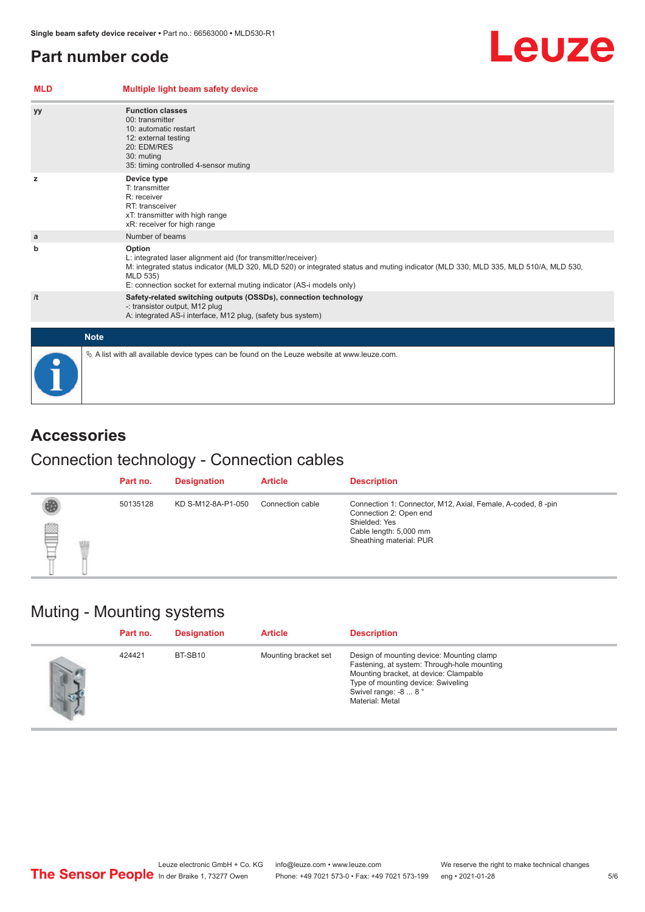## <span id="page-4-0"></span>**Part number code**

#### **MLD Multiple light beam safety device yy Function classes** 00: transmitter 10: automatic restart 12: external testing 20: EDM/RES 30: muting 35: timing controlled 4-sensor muting **z Device type** T: transmitter R: receiver RT: transceiver xT: transmitter with high range xR: receiver for high range **a a** Number of beams **b Option** L: integrated laser alignment aid (for transmitter/receiver) M: integrated status indicator (MLD 320, MLD 520) or integrated status and muting indicator (MLD 330, MLD 335, MLD 510/A, MLD 530, MLD 535) E: connection socket for external muting indicator (AS-i models only) **/t Safety-related switching outputs (OSSDs), connection technology** -: transistor output, M12 plug A: integrated AS-i interface, M12 plug, (safety bus system) **Note**  $\%$  A list with all available device types can be found on the Leuze website at www.leuze.com.

## **Accessories**

## Connection technology - Connection cables

|                | Part no. | <b>Designation</b> | <b>Article</b>   | <b>Description</b>                                                                                                                                          |
|----------------|----------|--------------------|------------------|-------------------------------------------------------------------------------------------------------------------------------------------------------------|
| <b>Address</b> | 50135128 | KD S-M12-8A-P1-050 | Connection cable | Connection 1: Connector, M12, Axial, Female, A-coded, 8-pin<br>Connection 2: Open end<br>Shielded: Yes<br>Cable length: 5,000 mm<br>Sheathing material: PUR |

### Muting - Mounting systems

| Part no. | <b>Designation</b> | <b>Article</b>       | <b>Description</b>                                                                                                                                                                                                  |
|----------|--------------------|----------------------|---------------------------------------------------------------------------------------------------------------------------------------------------------------------------------------------------------------------|
| 424421   | BT-SB10            | Mounting bracket set | Design of mounting device: Mounting clamp<br>Fastening, at system: Through-hole mounting<br>Mounting bracket, at device: Clampable<br>Type of mounting device: Swiveling<br>Swivel range: -8  8°<br>Material: Metal |

#### 5 /6

Leuze